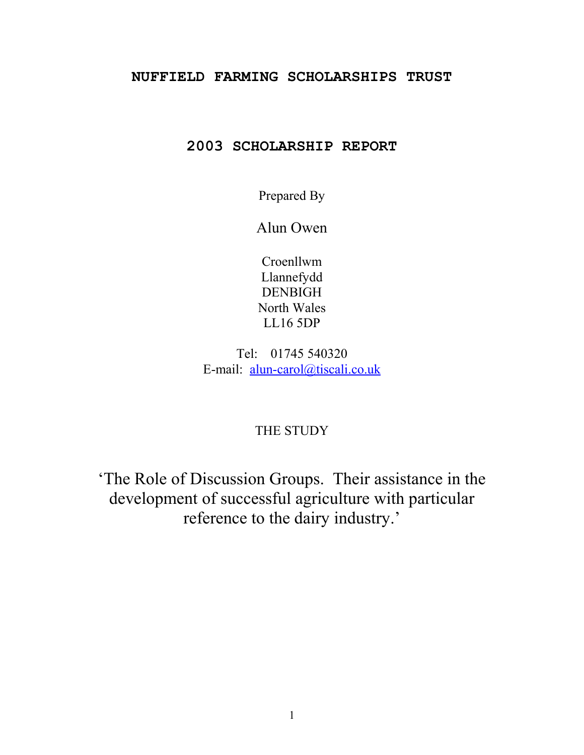#### **NUFFIELD FARMING SCHOLARSHIPS TRUST**

# **2003 SCHOLARSHIP REPORT**

Prepared By

Alun Owen

Croenllwm Llannefydd DENBIGH North Wales LL16 5DP

Tel: 01745 540320 E-mail: [alun-carol@tiscali.co.uk](mailto:alun-carol@tiscali.co.uk)

## THE STUDY

'The Role of Discussion Groups. Their assistance in the development of successful agriculture with particular reference to the dairy industry.'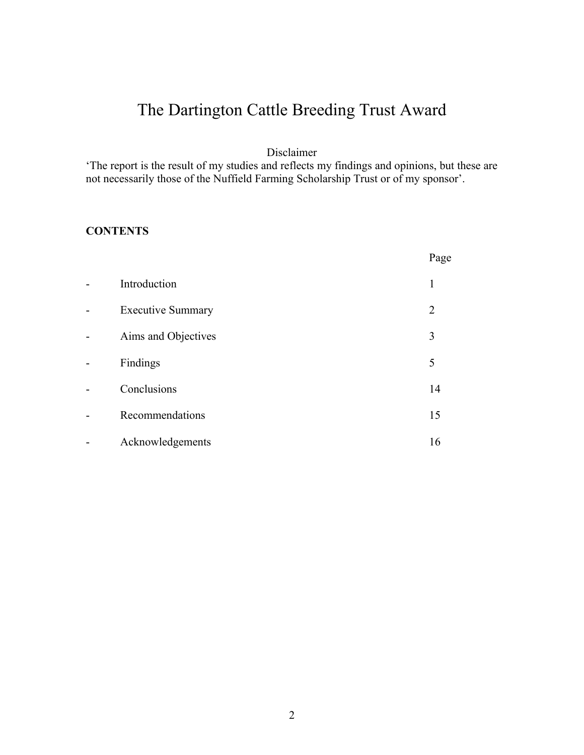# The Dartington Cattle Breeding Trust Award

Disclaimer

'The report is the result of my studies and reflects my findings and opinions, but these are not necessarily those of the Nuffield Farming Scholarship Trust or of my sponsor'.

### **CONTENTS**

|                |                          | Page           |
|----------------|--------------------------|----------------|
| $\blacksquare$ | Introduction             | 1              |
| -              | <b>Executive Summary</b> | $\overline{2}$ |
| -              | Aims and Objectives      | 3              |
| -              | Findings                 | 5              |
| -              | Conclusions              | 14             |
| -              | Recommendations          | 15             |
|                | Acknowledgements         | 16             |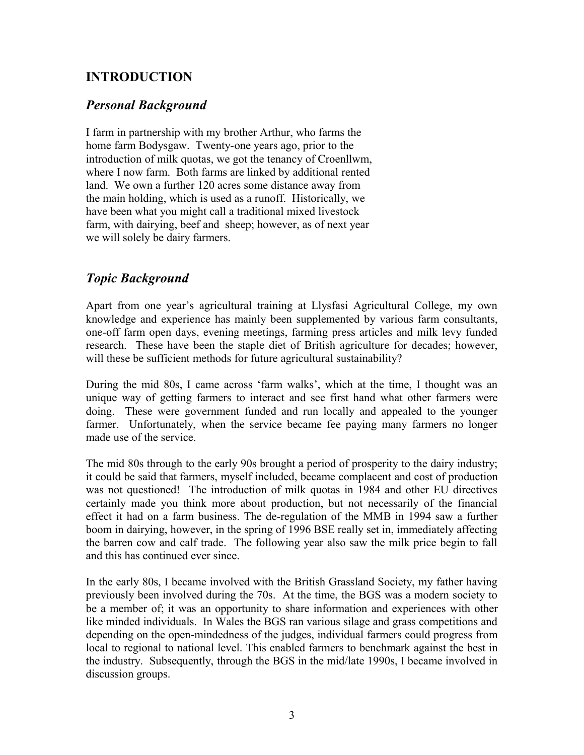# **INTRODUCTION**

## *Personal Background*

I farm in partnership with my brother Arthur, who farms the home farm Bodysgaw. Twenty-one years ago, prior to the introduction of milk quotas, we got the tenancy of Croenllwm, where I now farm. Both farms are linked by additional rented land. We own a further 120 acres some distance away from the main holding, which is used as a runoff. Historically, we have been what you might call a traditional mixed livestock farm, with dairying, beef and sheep; however, as of next year we will solely be dairy farmers.

# *Topic Background*

Apart from one year's agricultural training at Llysfasi Agricultural College, my own knowledge and experience has mainly been supplemented by various farm consultants, one-off farm open days, evening meetings, farming press articles and milk levy funded research. These have been the staple diet of British agriculture for decades; however, will these be sufficient methods for future agricultural sustainability?

During the mid 80s, I came across 'farm walks', which at the time, I thought was an unique way of getting farmers to interact and see first hand what other farmers were doing. These were government funded and run locally and appealed to the younger farmer. Unfortunately, when the service became fee paying many farmers no longer made use of the service.

The mid 80s through to the early 90s brought a period of prosperity to the dairy industry; it could be said that farmers, myself included, became complacent and cost of production was not questioned! The introduction of milk quotas in 1984 and other EU directives certainly made you think more about production, but not necessarily of the financial effect it had on a farm business. The de-regulation of the MMB in 1994 saw a further boom in dairying, however, in the spring of 1996 BSE really set in, immediately affecting the barren cow and calf trade. The following year also saw the milk price begin to fall and this has continued ever since.

In the early 80s, I became involved with the British Grassland Society, my father having previously been involved during the 70s. At the time, the BGS was a modern society to be a member of; it was an opportunity to share information and experiences with other like minded individuals. In Wales the BGS ran various silage and grass competitions and depending on the open-mindedness of the judges, individual farmers could progress from local to regional to national level. This enabled farmers to benchmark against the best in the industry. Subsequently, through the BGS in the mid/late 1990s, I became involved in discussion groups.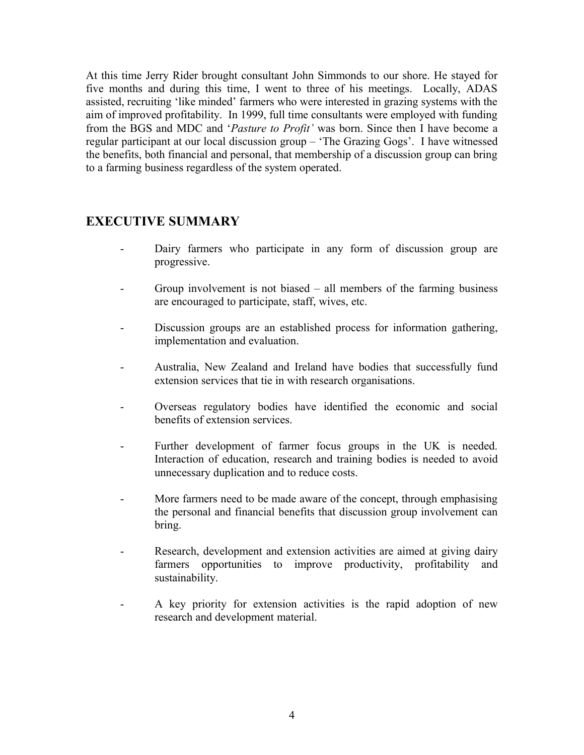At this time Jerry Rider brought consultant John Simmonds to our shore. He stayed for five months and during this time, I went to three of his meetings. Locally, ADAS assisted, recruiting 'like minded' farmers who were interested in grazing systems with the aim of improved profitability. In 1999, full time consultants were employed with funding from the BGS and MDC and '*Pasture to Profit'* was born. Since then I have become a regular participant at our local discussion group – 'The Grazing Gogs'. I have witnessed the benefits, both financial and personal, that membership of a discussion group can bring to a farming business regardless of the system operated.

## **EXECUTIVE SUMMARY**

- Dairy farmers who participate in any form of discussion group are progressive.
- Group involvement is not biased all members of the farming business are encouraged to participate, staff, wives, etc.
- Discussion groups are an established process for information gathering, implementation and evaluation.
- Australia, New Zealand and Ireland have bodies that successfully fund extension services that tie in with research organisations.
- Overseas regulatory bodies have identified the economic and social benefits of extension services.
- Further development of farmer focus groups in the UK is needed. Interaction of education, research and training bodies is needed to avoid unnecessary duplication and to reduce costs.
- More farmers need to be made aware of the concept, through emphasising the personal and financial benefits that discussion group involvement can bring.
- Research, development and extension activities are aimed at giving dairy farmers opportunities to improve productivity, profitability and sustainability.
- A key priority for extension activities is the rapid adoption of new research and development material.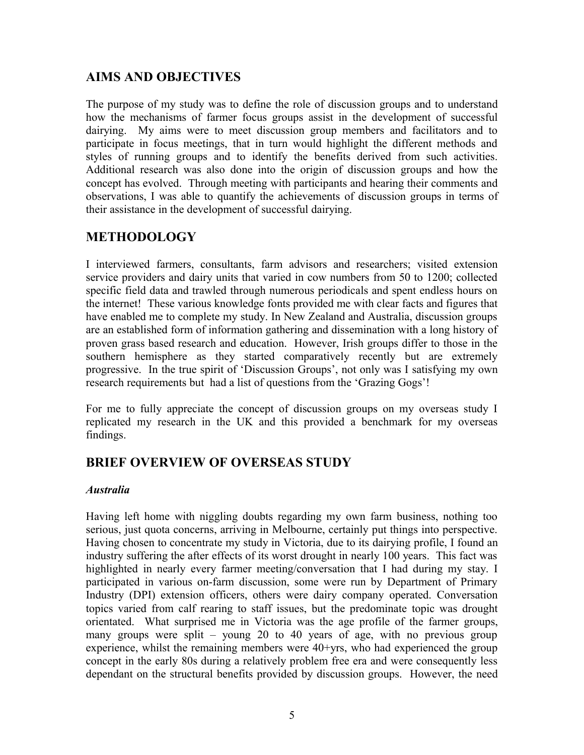## **AIMS AND OBJECTIVES**

The purpose of my study was to define the role of discussion groups and to understand how the mechanisms of farmer focus groups assist in the development of successful dairying. My aims were to meet discussion group members and facilitators and to participate in focus meetings, that in turn would highlight the different methods and styles of running groups and to identify the benefits derived from such activities. Additional research was also done into the origin of discussion groups and how the concept has evolved. Through meeting with participants and hearing their comments and observations, I was able to quantify the achievements of discussion groups in terms of their assistance in the development of successful dairying.

# **METHODOLOGY**

I interviewed farmers, consultants, farm advisors and researchers; visited extension service providers and dairy units that varied in cow numbers from 50 to 1200; collected specific field data and trawled through numerous periodicals and spent endless hours on the internet! These various knowledge fonts provided me with clear facts and figures that have enabled me to complete my study. In New Zealand and Australia, discussion groups are an established form of information gathering and dissemination with a long history of proven grass based research and education. However, Irish groups differ to those in the southern hemisphere as they started comparatively recently but are extremely progressive. In the true spirit of 'Discussion Groups', not only was I satisfying my own research requirements but had a list of questions from the 'Grazing Gogs'!

For me to fully appreciate the concept of discussion groups on my overseas study I replicated my research in the UK and this provided a benchmark for my overseas findings.

## **BRIEF OVERVIEW OF OVERSEAS STUDY**

#### *Australia*

Having left home with niggling doubts regarding my own farm business, nothing too serious, just quota concerns, arriving in Melbourne, certainly put things into perspective. Having chosen to concentrate my study in Victoria, due to its dairying profile, I found an industry suffering the after effects of its worst drought in nearly 100 years. This fact was highlighted in nearly every farmer meeting/conversation that I had during my stay. I participated in various on-farm discussion, some were run by Department of Primary Industry (DPI) extension officers, others were dairy company operated. Conversation topics varied from calf rearing to staff issues, but the predominate topic was drought orientated. What surprised me in Victoria was the age profile of the farmer groups, many groups were split – young 20 to 40 years of age, with no previous group experience, whilst the remaining members were 40+yrs, who had experienced the group concept in the early 80s during a relatively problem free era and were consequently less dependant on the structural benefits provided by discussion groups. However, the need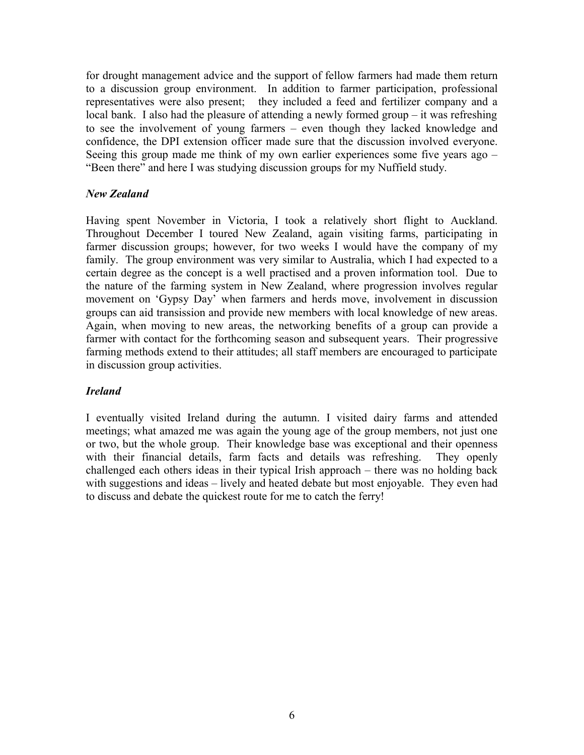for drought management advice and the support of fellow farmers had made them return to a discussion group environment. In addition to farmer participation, professional representatives were also present; they included a feed and fertilizer company and a local bank. I also had the pleasure of attending a newly formed group – it was refreshing to see the involvement of young farmers – even though they lacked knowledge and confidence, the DPI extension officer made sure that the discussion involved everyone. Seeing this group made me think of my own earlier experiences some five years ago – "Been there" and here I was studying discussion groups for my Nuffield study.

#### *New Zealand*

Having spent November in Victoria, I took a relatively short flight to Auckland. Throughout December I toured New Zealand, again visiting farms, participating in farmer discussion groups; however, for two weeks I would have the company of my family. The group environment was very similar to Australia, which I had expected to a certain degree as the concept is a well practised and a proven information tool. Due to the nature of the farming system in New Zealand, where progression involves regular movement on 'Gypsy Day' when farmers and herds move, involvement in discussion groups can aid transission and provide new members with local knowledge of new areas. Again, when moving to new areas, the networking benefits of a group can provide a farmer with contact for the forthcoming season and subsequent years. Their progressive farming methods extend to their attitudes; all staff members are encouraged to participate in discussion group activities.

### *Ireland*

I eventually visited Ireland during the autumn. I visited dairy farms and attended meetings; what amazed me was again the young age of the group members, not just one or two, but the whole group. Their knowledge base was exceptional and their openness with their financial details, farm facts and details was refreshing. They openly challenged each others ideas in their typical Irish approach – there was no holding back with suggestions and ideas – lively and heated debate but most enjoyable. They even had to discuss and debate the quickest route for me to catch the ferry!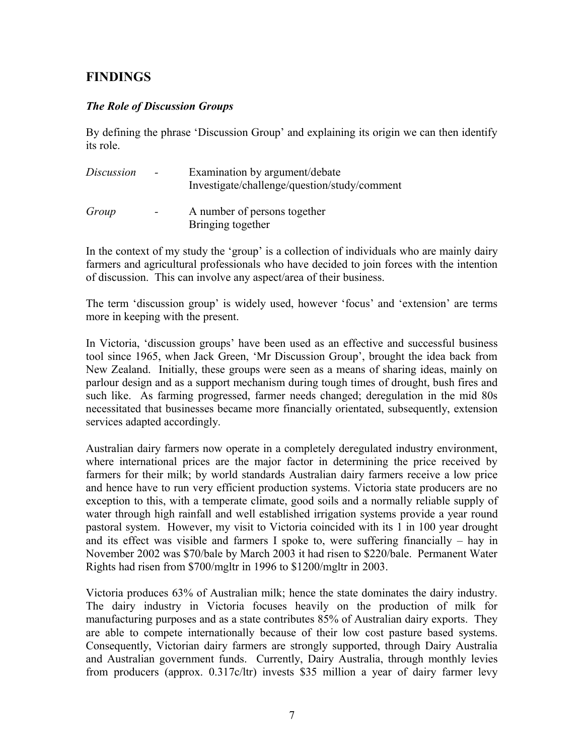# **FINDINGS**

#### *The Role of Discussion Groups*

By defining the phrase 'Discussion Group' and explaining its origin we can then identify its role.

| <i>Discussion</i> | $-$                      | Examination by argument/debate<br>Investigate/challenge/question/study/comment |
|-------------------|--------------------------|--------------------------------------------------------------------------------|
| Group             | $\overline{\phantom{0}}$ | A number of persons together<br>Bringing together                              |

In the context of my study the 'group' is a collection of individuals who are mainly dairy farmers and agricultural professionals who have decided to join forces with the intention of discussion. This can involve any aspect/area of their business.

The term 'discussion group' is widely used, however 'focus' and 'extension' are terms more in keeping with the present.

In Victoria, 'discussion groups' have been used as an effective and successful business tool since 1965, when Jack Green, 'Mr Discussion Group', brought the idea back from New Zealand. Initially, these groups were seen as a means of sharing ideas, mainly on parlour design and as a support mechanism during tough times of drought, bush fires and such like. As farming progressed, farmer needs changed; deregulation in the mid 80s necessitated that businesses became more financially orientated, subsequently, extension services adapted accordingly.

Australian dairy farmers now operate in a completely deregulated industry environment, where international prices are the major factor in determining the price received by farmers for their milk; by world standards Australian dairy farmers receive a low price and hence have to run very efficient production systems. Victoria state producers are no exception to this, with a temperate climate, good soils and a normally reliable supply of water through high rainfall and well established irrigation systems provide a year round pastoral system. However, my visit to Victoria coincided with its 1 in 100 year drought and its effect was visible and farmers I spoke to, were suffering financially – hay in November 2002 was \$70/bale by March 2003 it had risen to \$220/bale. Permanent Water Rights had risen from \$700/mgltr in 1996 to \$1200/mgltr in 2003.

Victoria produces 63% of Australian milk; hence the state dominates the dairy industry. The dairy industry in Victoria focuses heavily on the production of milk for manufacturing purposes and as a state contributes 85% of Australian dairy exports. They are able to compete internationally because of their low cost pasture based systems. Consequently, Victorian dairy farmers are strongly supported, through Dairy Australia and Australian government funds. Currently, Dairy Australia, through monthly levies from producers (approx. 0.317c/ltr) invests \$35 million a year of dairy farmer levy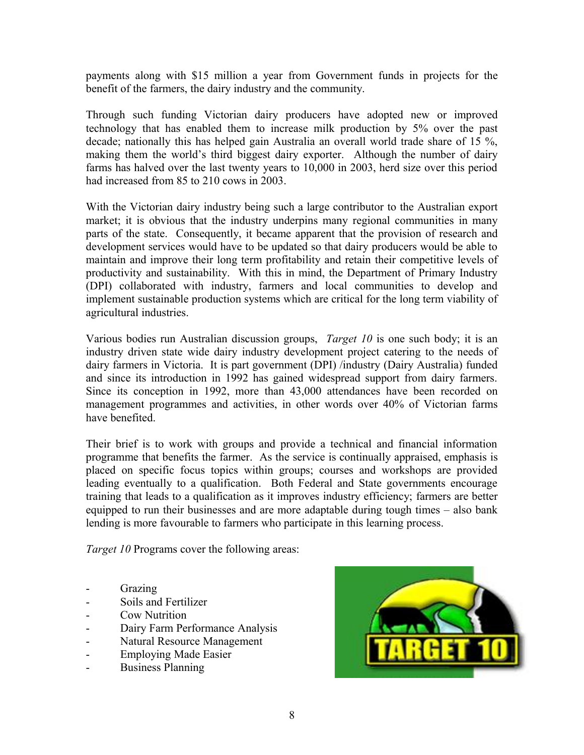payments along with \$15 million a year from Government funds in projects for the benefit of the farmers, the dairy industry and the community.

Through such funding Victorian dairy producers have adopted new or improved technology that has enabled them to increase milk production by 5% over the past decade; nationally this has helped gain Australia an overall world trade share of 15 %, making them the world's third biggest dairy exporter. Although the number of dairy farms has halved over the last twenty years to 10,000 in 2003, herd size over this period had increased from 85 to 210 cows in 2003.

With the Victorian dairy industry being such a large contributor to the Australian export market; it is obvious that the industry underpins many regional communities in many parts of the state. Consequently, it became apparent that the provision of research and development services would have to be updated so that dairy producers would be able to maintain and improve their long term profitability and retain their competitive levels of productivity and sustainability. With this in mind, the Department of Primary Industry (DPI) collaborated with industry, farmers and local communities to develop and implement sustainable production systems which are critical for the long term viability of agricultural industries.

Various bodies run Australian discussion groups, *Target 10* is one such body; it is an industry driven state wide dairy industry development project catering to the needs of dairy farmers in Victoria. It is part government (DPI) /industry (Dairy Australia) funded and since its introduction in 1992 has gained widespread support from dairy farmers. Since its conception in 1992, more than 43,000 attendances have been recorded on management programmes and activities, in other words over 40% of Victorian farms have benefited.

Their brief is to work with groups and provide a technical and financial information programme that benefits the farmer. As the service is continually appraised, emphasis is placed on specific focus topics within groups; courses and workshops are provided leading eventually to a qualification. Both Federal and State governments encourage training that leads to a qualification as it improves industry efficiency; farmers are better equipped to run their businesses and are more adaptable during tough times – also bank lending is more favourable to farmers who participate in this learning process.

*Target 10* Programs cover the following areas:

- **Grazing**
- Soils and Fertilizer
- Cow Nutrition
- Dairy Farm Performance Analysis
- Natural Resource Management
- Employing Made Easier
- Business Planning

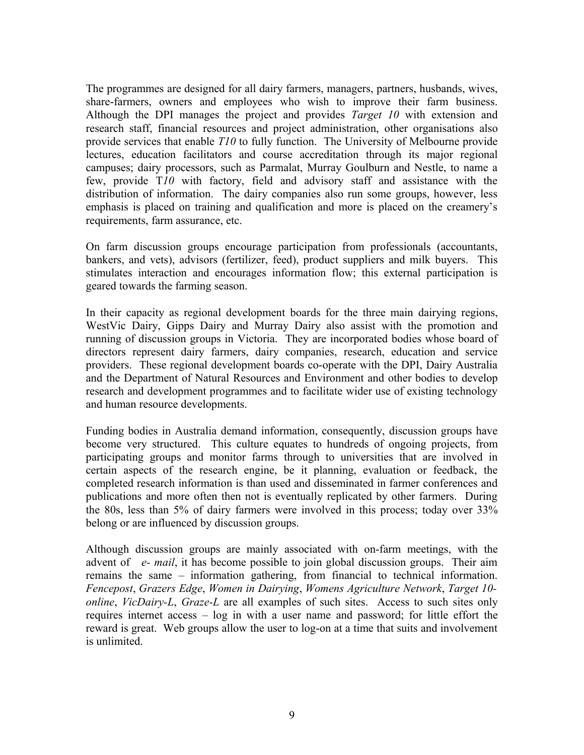The programmes are designed for all dairy farmers, managers, partners, husbands, wives, share-farmers, owners and employees who wish to improve their farm business. Although the DPI manages the project and provides *Target 10* with extension and research staff, financial resources and project administration, other organisations also provide services that enable *T10* to fully function. The University of Melbourne provide lectures, education facilitators and course accreditation through its major regional campuses; dairy processors, such as Parmalat, Murray Goulburn and Nestle, to name a few, provide T*10* with factory, field and advisory staff and assistance with the distribution of information. The dairy companies also run some groups, however, less emphasis is placed on training and qualification and more is placed on the creamery's requirements, farm assurance, etc.

On farm discussion groups encourage participation from professionals (accountants, bankers, and vets), advisors (fertilizer, feed), product suppliers and milk buyers. This stimulates interaction and encourages information flow; this external participation is geared towards the farming season.

In their capacity as regional development boards for the three main dairying regions, WestVic Dairy, Gipps Dairy and Murray Dairy also assist with the promotion and running of discussion groups in Victoria. They are incorporated bodies whose board of directors represent dairy farmers, dairy companies, research, education and service providers. These regional development boards co-operate with the DPI, Dairy Australia and the Department of Natural Resources and Environment and other bodies to develop research and development programmes and to facilitate wider use of existing technology and human resource developments.

Funding bodies in Australia demand information, consequently, discussion groups have become very structured. This culture equates to hundreds of ongoing projects, from participating groups and monitor farms through to universities that are involved in certain aspects of the research engine, be it planning, evaluation or feedback, the completed research information is than used and disseminated in farmer conferences and publications and more often then not is eventually replicated by other farmers. During the 80s, less than 5% of dairy farmers were involved in this process; today over 33% belong or are influenced by discussion groups.

Although discussion groups are mainly associated with on-farm meetings, with the advent of *e- mail*, it has become possible to join global discussion groups. Their aim remains the same – information gathering, from financial to technical information. *Fencepost*, *Grazers Edge*, *Women in Dairying*, *Womens Agriculture Network*, *Target 10 online*, *VicDairy-L*, *Graze-L* are all examples of such sites. Access to such sites only requires internet access – log in with a user name and password; for little effort the reward is great. Web groups allow the user to log-on at a time that suits and involvement is unlimited.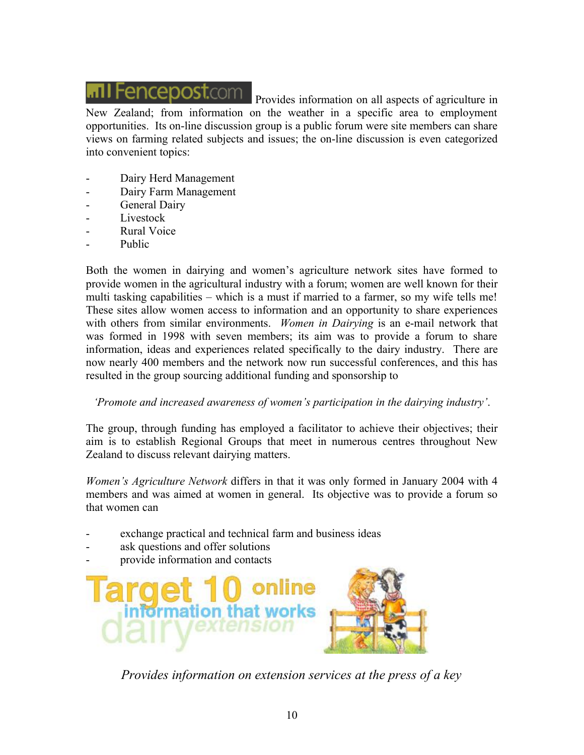# **MII Fencepost.com**

Provides information on all aspects of agriculture in New Zealand; from information on the weather in a specific area to employment opportunities. Its on-line discussion group is a public forum were site members can share views on farming related subjects and issues; the on-line discussion is even categorized into convenient topics:

- Dairy Herd Management
- Dairy Farm Management
- General Dairy
- Livestock
- Rural Voice
- Public

Both the women in dairying and women's agriculture network sites have formed to provide women in the agricultural industry with a forum; women are well known for their multi tasking capabilities – which is a must if married to a farmer, so my wife tells me! These sites allow women access to information and an opportunity to share experiences with others from similar environments. *Women in Dairying* is an e-mail network that was formed in 1998 with seven members; its aim was to provide a forum to share information, ideas and experiences related specifically to the dairy industry. There are now nearly 400 members and the network now run successful conferences, and this has resulted in the group sourcing additional funding and sponsorship to

#### *'Promote and increased awareness of women's participation in the dairying industry'*.

The group, through funding has employed a facilitator to achieve their objectives; their aim is to establish Regional Groups that meet in numerous centres throughout New Zealand to discuss relevant dairying matters.

*Women's Agriculture Network* differs in that it was only formed in January 2004 with 4 members and was aimed at women in general. Its objective was to provide a forum so that women can

- exchange practical and technical farm and business ideas
- ask questions and offer solutions
- provide information and contacts



*Provides information on extension services at the press of a key*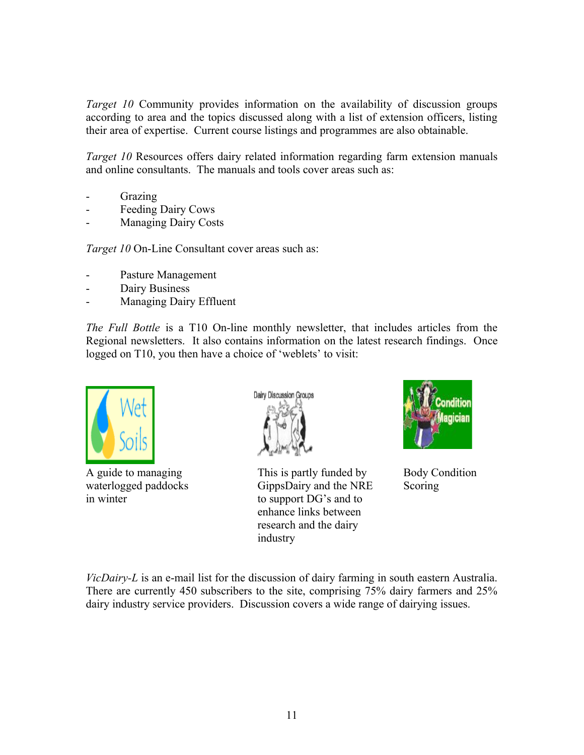*Target 10* Community provides information on the availability of discussion groups according to area and the topics discussed along with a list of extension officers, listing their area of expertise. Current course listings and programmes are also obtainable.

*Target 10* Resources offers dairy related information regarding farm extension manuals and online consultants. The manuals and tools cover areas such as:

- **Grazing**
- Feeding Dairy Cows
- Managing Dairy Costs

*Target 10* On-Line Consultant cover areas such as:

- Pasture Management
- Dairy Business
- Managing Dairy Effluent

*The Full Bottle* is a T10 On-line monthly newsletter, that includes articles from the Regional newsletters. It also contains information on the latest research findings. Once logged on T10, you then have a choice of 'weblets' to visit:





A guide to managing This is partly funded by Body Condition waterlogged paddocks GippsDairy and the NRE Scoring in winter to support DG's and to enhance links between research and the dairy industry



*VicDairy-L* is an e-mail list for the discussion of dairy farming in south eastern Australia. There are currently 450 subscribers to the site, comprising 75% dairy farmers and 25% dairy industry service providers. Discussion covers a wide range of dairying issues.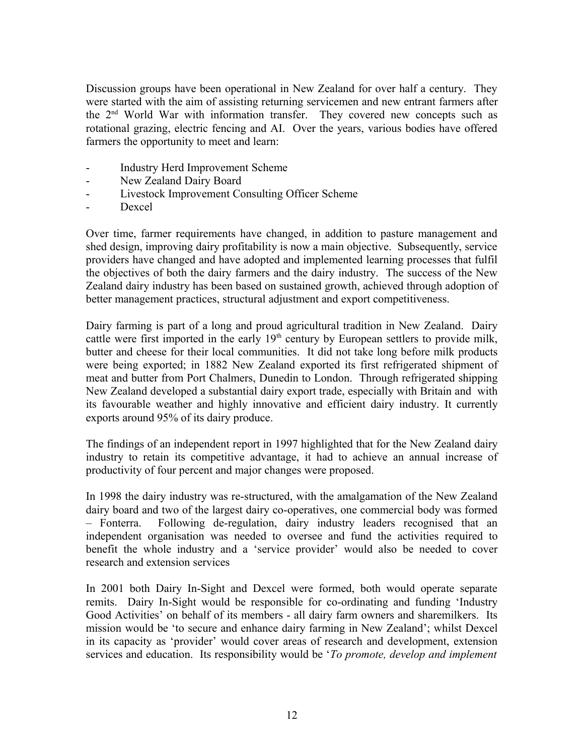Discussion groups have been operational in New Zealand for over half a century. They were started with the aim of assisting returning servicemen and new entrant farmers after the 2nd World War with information transfer. They covered new concepts such as rotational grazing, electric fencing and AI. Over the years, various bodies have offered farmers the opportunity to meet and learn:

- Industry Herd Improvement Scheme
- New Zealand Dairy Board
- Livestock Improvement Consulting Officer Scheme
- Dexcel

Over time, farmer requirements have changed, in addition to pasture management and shed design, improving dairy profitability is now a main objective. Subsequently, service providers have changed and have adopted and implemented learning processes that fulfil the objectives of both the dairy farmers and the dairy industry. The success of the New Zealand dairy industry has been based on sustained growth, achieved through adoption of better management practices, structural adjustment and export competitiveness.

Dairy farming is part of a long and proud agricultural tradition in New Zealand. Dairy cattle were first imported in the early  $19<sup>th</sup>$  century by European settlers to provide milk, butter and cheese for their local communities. It did not take long before milk products were being exported; in 1882 New Zealand exported its first refrigerated shipment of meat and butter from Port Chalmers, Dunedin to London. Through refrigerated shipping New Zealand developed a substantial dairy export trade, especially with Britain and with its favourable weather and highly innovative and efficient dairy industry. It currently exports around 95% of its dairy produce.

The findings of an independent report in 1997 highlighted that for the New Zealand dairy industry to retain its competitive advantage, it had to achieve an annual increase of productivity of four percent and major changes were proposed.

In 1998 the dairy industry was re-structured, with the amalgamation of the New Zealand dairy board and two of the largest dairy co-operatives, one commercial body was formed – Fonterra. Following de-regulation, dairy industry leaders recognised that an independent organisation was needed to oversee and fund the activities required to benefit the whole industry and a 'service provider' would also be needed to cover research and extension services

In 2001 both Dairy In-Sight and Dexcel were formed, both would operate separate remits. Dairy In-Sight would be responsible for co-ordinating and funding 'Industry Good Activities' on behalf of its members - all dairy farm owners and sharemilkers. Its mission would be 'to secure and enhance dairy farming in New Zealand'; whilst Dexcel in its capacity as 'provider' would cover areas of research and development, extension services and education. Its responsibility would be '*To promote, develop and implement*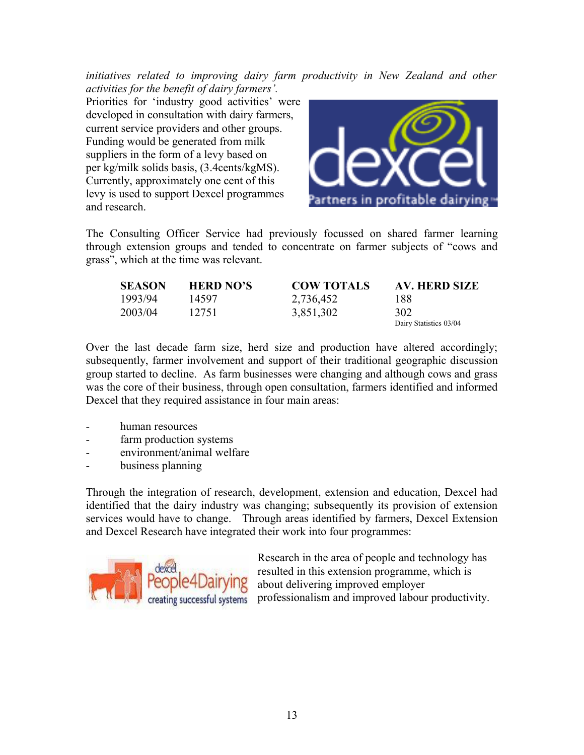*initiatives related to improving dairy farm productivity in New Zealand and other activities for the benefit of dairy farmers'.* 

Priorities for 'industry good activities' were developed in consultation with dairy farmers, current service providers and other groups. Funding would be generated from milk suppliers in the form of a levy based on per kg/milk solids basis, (3.4cents/kgMS). Currently, approximately one cent of this levy is used to support Dexcel programmes and research.



The Consulting Officer Service had previously focussed on shared farmer learning through extension groups and tended to concentrate on farmer subjects of "cows and grass", which at the time was relevant.

| <b>SEASON</b> | <b>HERD NO'S</b> | <b>COW TOTALS</b> | AV. HERD SIZE          |
|---------------|------------------|-------------------|------------------------|
| 1993/94       | 14597            | 2,736,452         | 188                    |
| 2003/04       | 12751            | 3,851,302         | 302                    |
|               |                  |                   | Dairy Statistics 03/04 |

Over the last decade farm size, herd size and production have altered accordingly; subsequently, farmer involvement and support of their traditional geographic discussion group started to decline. As farm businesses were changing and although cows and grass was the core of their business, through open consultation, farmers identified and informed Dexcel that they required assistance in four main areas:

- human resources
- farm production systems
- environment/animal welfare
- business planning

Through the integration of research, development, extension and education, Dexcel had identified that the dairy industry was changing; subsequently its provision of extension services would have to change. Through areas identified by farmers, Dexcel Extension and Dexcel Research have integrated their work into four programmes:



Research in the area of people and technology has resulted in this extension programme, which is about delivering improved employer professionalism and improved labour productivity.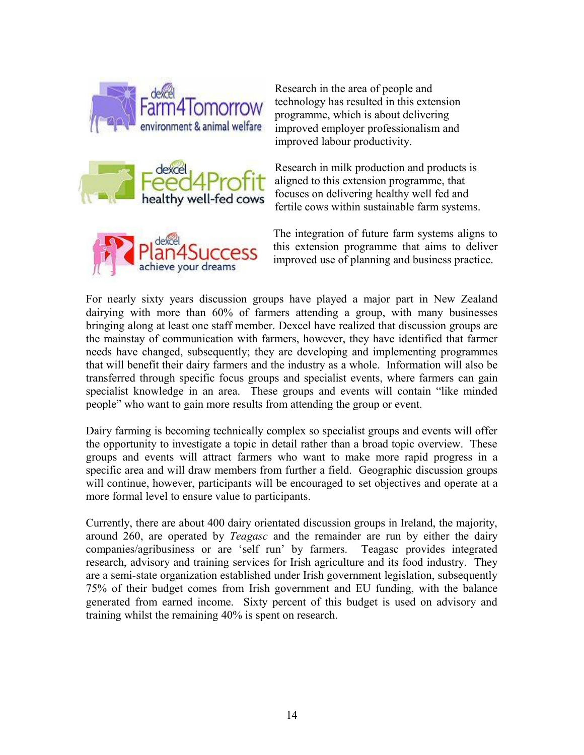





Research in the area of people and technology has resulted in this extension programme, which is about delivering improved employer professionalism and improved labour productivity.

Research in milk production and products is aligned to this extension programme, that focuses on delivering healthy well fed and fertile cows within sustainable farm systems.

The integration of future farm systems aligns to this extension programme that aims to deliver improved use of planning and business practice.

For nearly sixty years discussion groups have played a major part in New Zealand dairying with more than 60% of farmers attending a group, with many businesses bringing along at least one staff member. Dexcel have realized that discussion groups are the mainstay of communication with farmers, however, they have identified that farmer needs have changed, subsequently; they are developing and implementing programmes that will benefit their dairy farmers and the industry as a whole. Information will also be transferred through specific focus groups and specialist events, where farmers can gain specialist knowledge in an area. These groups and events will contain "like minded people" who want to gain more results from attending the group or event.

Dairy farming is becoming technically complex so specialist groups and events will offer the opportunity to investigate a topic in detail rather than a broad topic overview. These groups and events will attract farmers who want to make more rapid progress in a specific area and will draw members from further a field. Geographic discussion groups will continue, however, participants will be encouraged to set objectives and operate at a more formal level to ensure value to participants.

Currently, there are about 400 dairy orientated discussion groups in Ireland, the majority, around 260, are operated by *Teagasc* and the remainder are run by either the dairy companies/agribusiness or are 'self run' by farmers. Teagasc provides integrated research, advisory and training services for Irish agriculture and its food industry. They are a semi-state organization established under Irish government legislation, subsequently 75% of their budget comes from Irish government and EU funding, with the balance generated from earned income. Sixty percent of this budget is used on advisory and training whilst the remaining 40% is spent on research.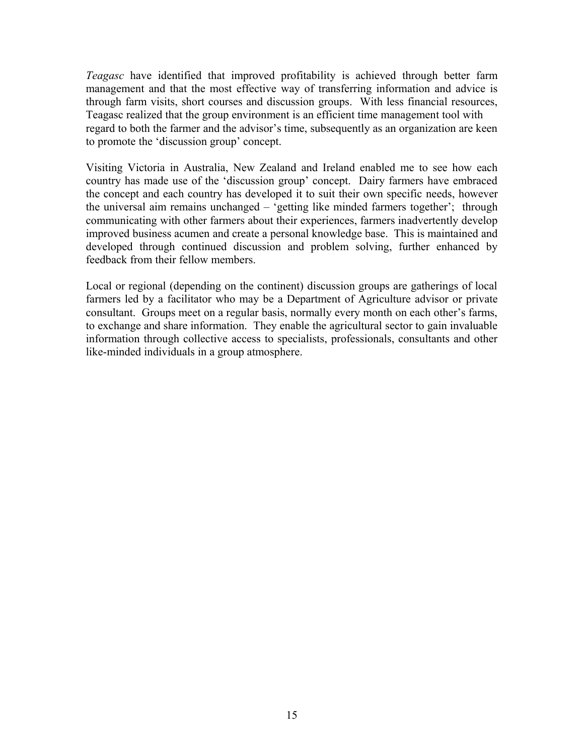*Teagasc* have identified that improved profitability is achieved through better farm management and that the most effective way of transferring information and advice is through farm visits, short courses and discussion groups. With less financial resources, Teagasc realized that the group environment is an efficient time management tool with regard to both the farmer and the advisor's time, subsequently as an organization are keen to promote the 'discussion group' concept.

Visiting Victoria in Australia, New Zealand and Ireland enabled me to see how each country has made use of the 'discussion group' concept. Dairy farmers have embraced the concept and each country has developed it to suit their own specific needs, however the universal aim remains unchanged – 'getting like minded farmers together'; through communicating with other farmers about their experiences, farmers inadvertently develop improved business acumen and create a personal knowledge base. This is maintained and developed through continued discussion and problem solving, further enhanced by feedback from their fellow members.

Local or regional (depending on the continent) discussion groups are gatherings of local farmers led by a facilitator who may be a Department of Agriculture advisor or private consultant. Groups meet on a regular basis, normally every month on each other's farms, to exchange and share information. They enable the agricultural sector to gain invaluable information through collective access to specialists, professionals, consultants and other like-minded individuals in a group atmosphere.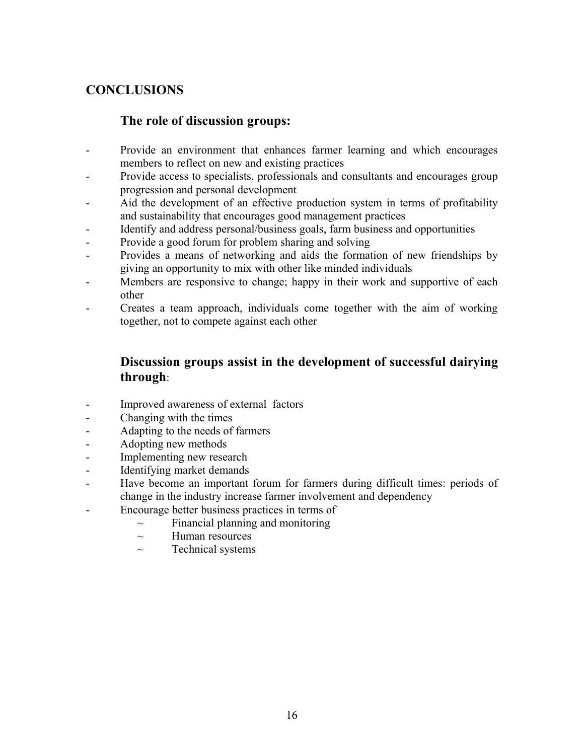# **CONCLUSIONS**

## **The role of discussion groups:**

- Provide an environment that enhances farmer learning and which encourages members to reflect on new and existing practices
- Provide access to specialists, professionals and consultants and encourages group progression and personal development
- Aid the development of an effective production system in terms of profitability and sustainability that encourages good management practices
- Identify and address personal/business goals, farm business and opportunities
- Provide a good forum for problem sharing and solving
- Provides a means of networking and aids the formation of new friendships by giving an opportunity to mix with other like minded individuals
- Members are responsive to change; happy in their work and supportive of each other
- Creates a team approach, individuals come together with the aim of working together, not to compete against each other

## **Discussion groups assist in the development of successful dairying through**:

- Improved awareness of external factors
- Changing with the times
- Adapting to the needs of farmers
- Adopting new methods
- Implementing new research
- Identifying market demands
- Have become an important forum for farmers during difficult times: periods of change in the industry increase farmer involvement and dependency
- Encourage better business practices in terms of
	- $\sim$  Financial planning and monitoring
	- $\sim$  Human resources
	- $\sim$  Technical systems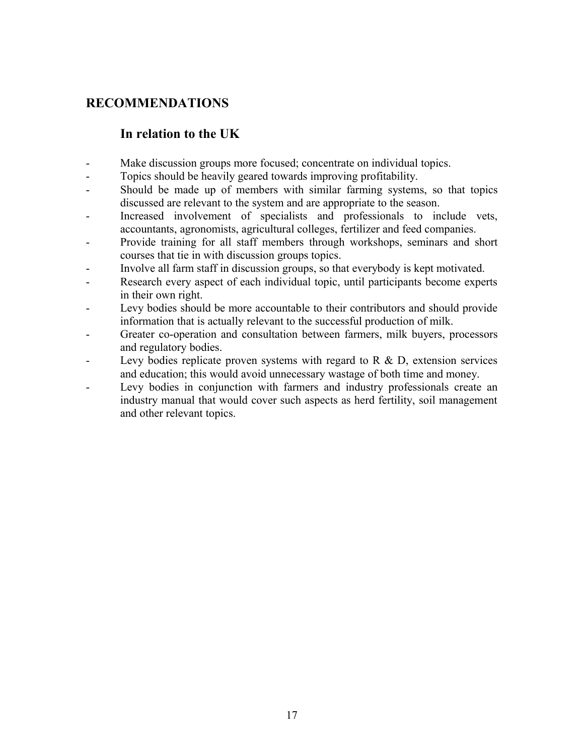# **RECOMMENDATIONS**

## **In relation to the UK**

- Make discussion groups more focused; concentrate on individual topics.
- Topics should be heavily geared towards improving profitability.
- Should be made up of members with similar farming systems, so that topics discussed are relevant to the system and are appropriate to the season.
- Increased involvement of specialists and professionals to include vets, accountants, agronomists, agricultural colleges, fertilizer and feed companies.
- Provide training for all staff members through workshops, seminars and short courses that tie in with discussion groups topics.
- Involve all farm staff in discussion groups, so that everybody is kept motivated.
- Research every aspect of each individual topic, until participants become experts in their own right.
- Levy bodies should be more accountable to their contributors and should provide information that is actually relevant to the successful production of milk.
- Greater co-operation and consultation between farmers, milk buyers, processors and regulatory bodies.
- Levy bodies replicate proven systems with regard to R & D, extension services and education; this would avoid unnecessary wastage of both time and money.
- Levy bodies in conjunction with farmers and industry professionals create an industry manual that would cover such aspects as herd fertility, soil management and other relevant topics.